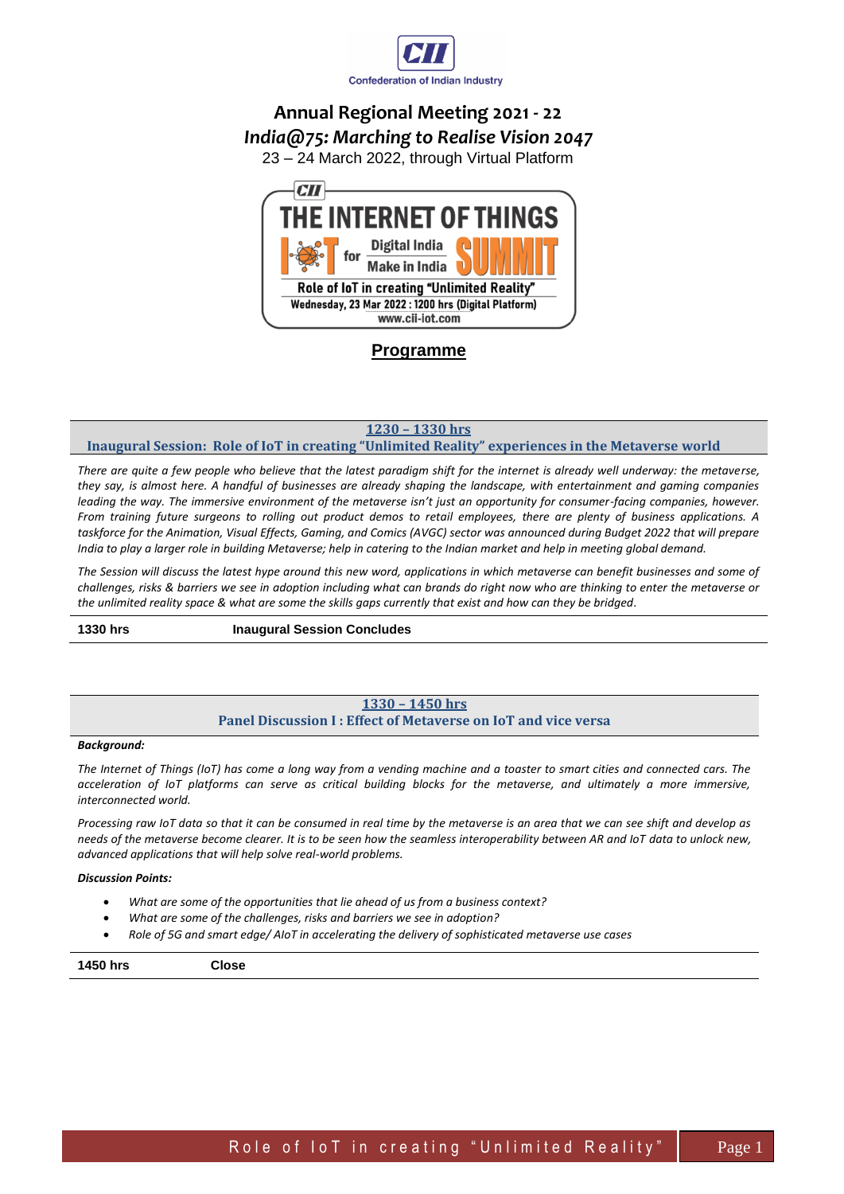

# **Annual Regional Meeting 2021 - 22** *India@75: Marching to Realise Vision 2047*

23 – 24 March 2022, through Virtual Platform



**Programme**

**1230 – 1330 hrs**

### **Inaugural Session: Role of IoT in creating "Unlimited Reality" experiences in the Metaverse world**

*There are quite a few people who believe that the latest paradigm shift for the internet is already well underway: the metaverse, they say, is almost here. A handful of businesses are already shaping the landscape, with entertainment and gaming companies leading the way. The immersive environment of the metaverse isn't just an opportunity for consumer-facing companies, however. From training future surgeons to rolling out product demos to retail employees, there are plenty of business applications. A*  taskforce for the Animation, Visual Effects, Gaming, and Comics (AVGC) sector was announced during Budget 2022 that will prepare *India to play a larger role in building Metaverse; help in catering to the Indian market and help in meeting global demand.* 

*The Session will discuss the latest hype around this new word, applications in which metaverse can benefit businesses and some of challenges, risks & barriers we see in adoption including what can brands do right now who are thinking to enter the metaverse or the unlimited reality space & what are some the skills gaps currently that exist and how can they be bridged.*

**1330 hrs Inaugural Session Concludes** 

### **1330 – 1450 hrs Panel Discussion I : Effect of Metaverse on IoT and vice versa**

#### *Background:*

*The Internet of Things (IoT) has come a long way from a vending machine and a toaster to smart cities and connected cars. The acceleration of IoT platforms can serve as critical building blocks for the metaverse, and ultimately a more immersive, interconnected world.* 

*Processing raw IoT data so that it can be consumed in real time by the metaverse is an area that we can see shift and develop as needs of the metaverse become clearer. It is to be seen how the seamless interoperability between AR and IoT data to unlock new, advanced applications that will help solve real-world problems.*

#### *Discussion Points:*

- *What are some of the opportunities that lie ahead of us from a business context?*
- *What are some of the challenges, risks and barriers we see in adoption?*
- *Role of 5G and smart edge/ AIoT in accelerating the delivery of sophisticated metaverse use cases*

#### **1450 hrs Close**